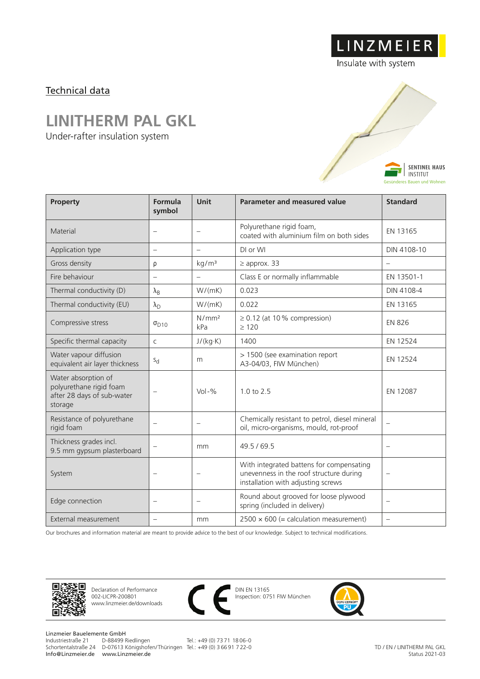## Technical data

## **LINITHERM PAL GKL**

Under-rafter insulation system



LINZMEIER

| Property                                                                                | Formula<br>symbol        | <b>Unit</b>              | <b>Parameter and measured value</b>                                                                                       | <b>Standard</b>          |
|-----------------------------------------------------------------------------------------|--------------------------|--------------------------|---------------------------------------------------------------------------------------------------------------------------|--------------------------|
| Material                                                                                | $\overline{\phantom{0}}$ | $\overline{\phantom{0}}$ | Polyurethane rigid foam,<br>coated with aluminium film on both sides                                                      | EN 13165                 |
| Application type                                                                        | $\overline{\phantom{0}}$ | $\overline{\phantom{0}}$ | DI or WI                                                                                                                  | DIN 4108-10              |
| Gross density                                                                           | ρ                        | kg/m <sup>3</sup>        | $\geq$ approx. 33                                                                                                         | $\equiv$                 |
| Fire behaviour                                                                          | $\qquad \qquad -$        | $\qquad \qquad -$        | Class E or normally inflammable                                                                                           | EN 13501-1               |
| Thermal conductivity (D)                                                                | $\lambda_{\rm B}$        | W/(mK)                   | 0.023                                                                                                                     | DIN 4108-4               |
| Thermal conductivity (EU)                                                               | $\lambda_{\rm D}$        | W/(mK)                   | 0.022                                                                                                                     | EN 13165                 |
| Compressive stress                                                                      | $\sigma_{D10}$           | N/mm <sup>2</sup><br>kPa | $\geq$ 0.12 (at 10% compression)<br>>120                                                                                  | <b>EN 826</b>            |
| Specific thermal capacity                                                               | $\mathsf{C}$             | J/(kg·K)                 | 1400                                                                                                                      | EN 12524                 |
| Water vapour diffusion<br>equivalent air layer thickness                                | $S_{d}$                  | m                        | > 1500 (see examination report<br>A3-04/03, FIW München)                                                                  | EN 12524                 |
| Water absorption of<br>polyurethane rigid foam<br>after 28 days of sub-water<br>storage | $\overline{\phantom{0}}$ | $Vol - %$                | $1.0 \text{ to } 2.5$                                                                                                     | EN 12087                 |
| Resistance of polyurethane<br>rigid foam                                                | $\overline{\phantom{0}}$ | $\overline{\phantom{0}}$ | Chemically resistant to petrol, diesel mineral<br>oil, micro-organisms, mould, rot-proof                                  | $\overline{\phantom{0}}$ |
| Thickness grades incl.<br>9.5 mm gypsum plasterboard                                    |                          | mm                       | 49.5/69.5                                                                                                                 | $\overline{\phantom{0}}$ |
| System                                                                                  | $\overline{\phantom{0}}$ | $\qquad \qquad -$        | With integrated battens for compensating<br>unevenness in the roof structure during<br>installation with adjusting screws |                          |
| Edge connection                                                                         |                          | $\overline{\phantom{m}}$ | Round about grooved for loose plywood<br>spring (included in delivery)                                                    | $\equiv$                 |
| External measurement                                                                    | $\overline{\phantom{0}}$ | mm                       | $2500 \times 600$ (= calculation measurement)                                                                             | $\overline{\phantom{0}}$ |

Our brochures and information material are meant to provide advice to the best of our knowledge. Subject to technical modifications.



Declaration of Performance 002-LICPR-200801 www.linzmeier.de/downloads



DIN EN 13165 Inspection: 0751 FIW München



Linzmeier Bauelemente GmbH<br>Industriestraße 21 D-88499 Riedlingen Schortentalstraße 24 D-07613 Königshofen/ Thüringen Tel.: +49 (0) 3 66 91 7 22-0 Info@Linzmeier.de www.Linzmeier.de

Tel.: +49 (0) 73 71 18 06-0

TD / EN / LINITHERM PAL GKL Status 2021-03